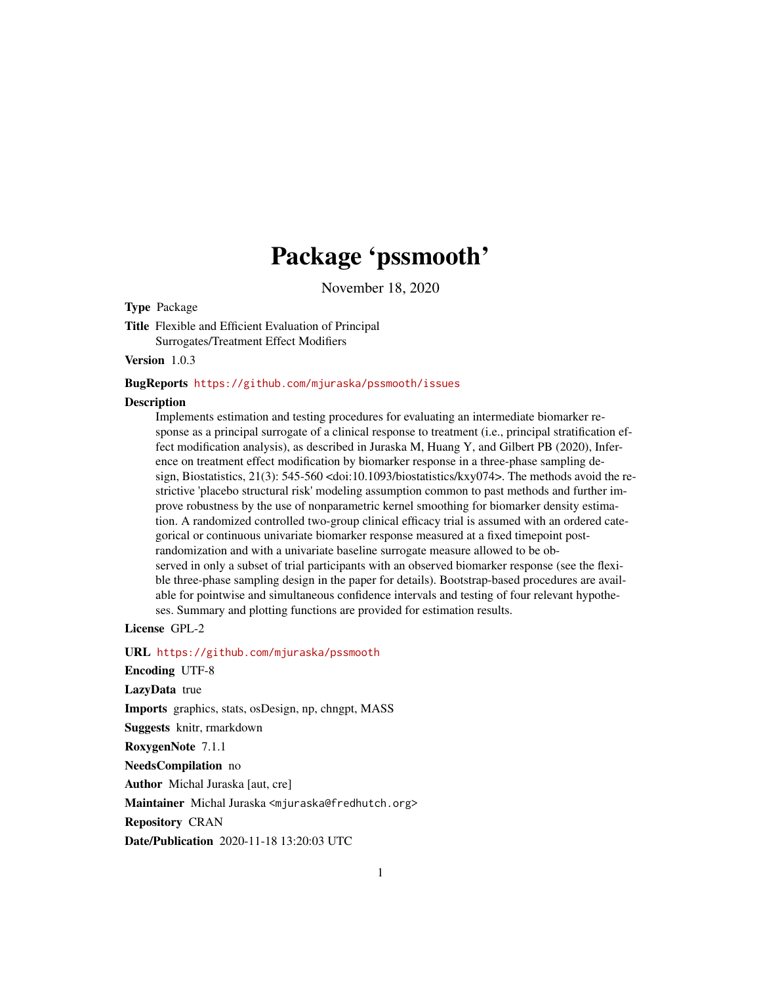## Package 'pssmooth'

November 18, 2020

Type Package

Title Flexible and Efficient Evaluation of Principal Surrogates/Treatment Effect Modifiers

Version 1.0.3

BugReports <https://github.com/mjuraska/pssmooth/issues>

#### **Description**

Implements estimation and testing procedures for evaluating an intermediate biomarker response as a principal surrogate of a clinical response to treatment (i.e., principal stratification effect modification analysis), as described in Juraska M, Huang Y, and Gilbert PB (2020), Inference on treatment effect modification by biomarker response in a three-phase sampling design, Biostatistics, 21(3): 545-560 <doi:10.1093/biostatistics/kxy074>. The methods avoid the restrictive 'placebo structural risk' modeling assumption common to past methods and further improve robustness by the use of nonparametric kernel smoothing for biomarker density estimation. A randomized controlled two-group clinical efficacy trial is assumed with an ordered categorical or continuous univariate biomarker response measured at a fixed timepoint postrandomization and with a univariate baseline surrogate measure allowed to be observed in only a subset of trial participants with an observed biomarker response (see the flexible three-phase sampling design in the paper for details). Bootstrap-based procedures are available for pointwise and simultaneous confidence intervals and testing of four relevant hypotheses. Summary and plotting functions are provided for estimation results.

License GPL-2

URL <https://github.com/mjuraska/pssmooth>

Encoding UTF-8

LazyData true

Imports graphics, stats, osDesign, np, chngpt, MASS

Suggests knitr, rmarkdown

RoxygenNote 7.1.1

NeedsCompilation no

Author Michal Juraska [aut, cre]

Maintainer Michal Juraska <mjuraska@fredhutch.org>

Repository CRAN

Date/Publication 2020-11-18 13:20:03 UTC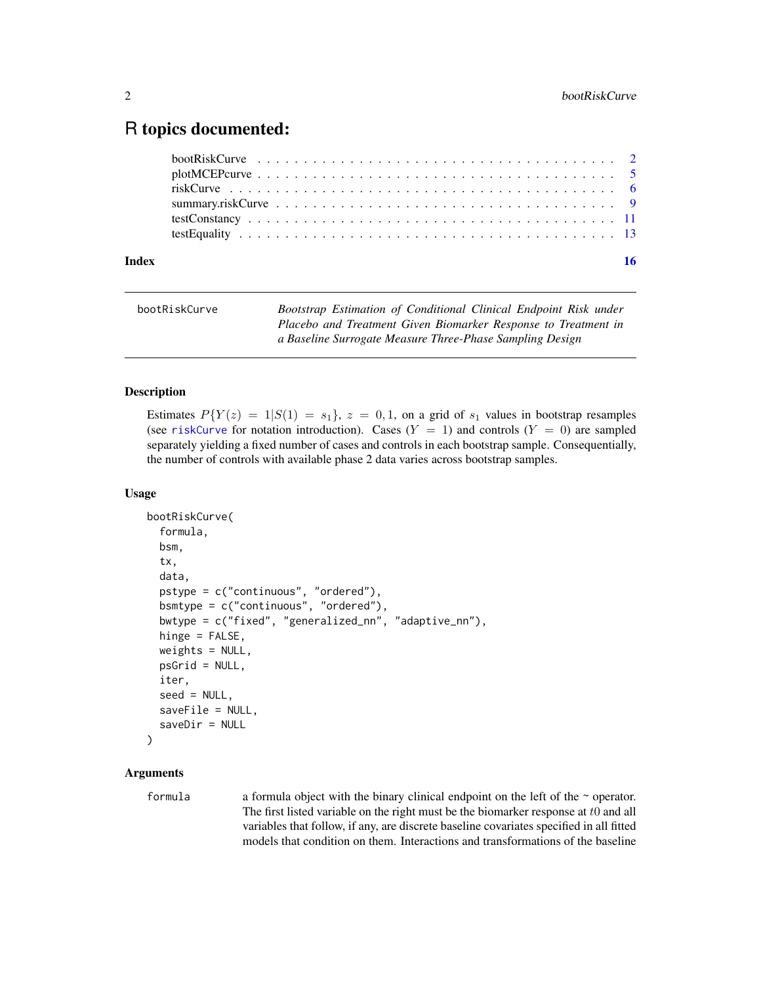### <span id="page-1-0"></span>R topics documented:

| Index |  |
|-------|--|
|       |  |
|       |  |
|       |  |
|       |  |
|       |  |
|       |  |

<span id="page-1-1"></span>

| bootRiskCurve | Bootstrap Estimation of Conditional Clinical Endpoint Risk under |
|---------------|------------------------------------------------------------------|
|               | Placebo and Treatment Given Biomarker Response to Treatment in   |
|               | a Baseline Surrogate Measure Three-Phase Sampling Design         |

#### Description

Estimates  $P(Y(z) = 1|S(1) = s_1$ ,  $z = 0, 1$ , on a grid of  $s_1$  values in bootstrap resamples (see [riskCurve](#page-5-1) for notation introduction). Cases  $(Y = 1)$  and controls  $(Y = 0)$  are sampled separately yielding a fixed number of cases and controls in each bootstrap sample. Consequentially, the number of controls with available phase 2 data varies across bootstrap samples.

#### Usage

```
bootRiskCurve(
  formula,
 bsm,
  tx,
  data,
  pstype = c("continuous", "ordered"),
 bsmtype = c("continuous", "ordered"),
  bwtype = c("fixed", "generalized_nn", "adaptive_nn"),
  hinge = FALSE,
 weights = NULL,
 psGrid = NULL,
  iter,
  seed = NULL,
  saveFile = NULL,
  saveDir = NULL
)
```
#### Arguments

formula a formula object with the binary clinical endpoint on the left of the  $\sim$  operator. The first listed variable on the right must be the biomarker response at  $t0$  and all variables that follow, if any, are discrete baseline covariates specified in all fitted models that condition on them. Interactions and transformations of the baseline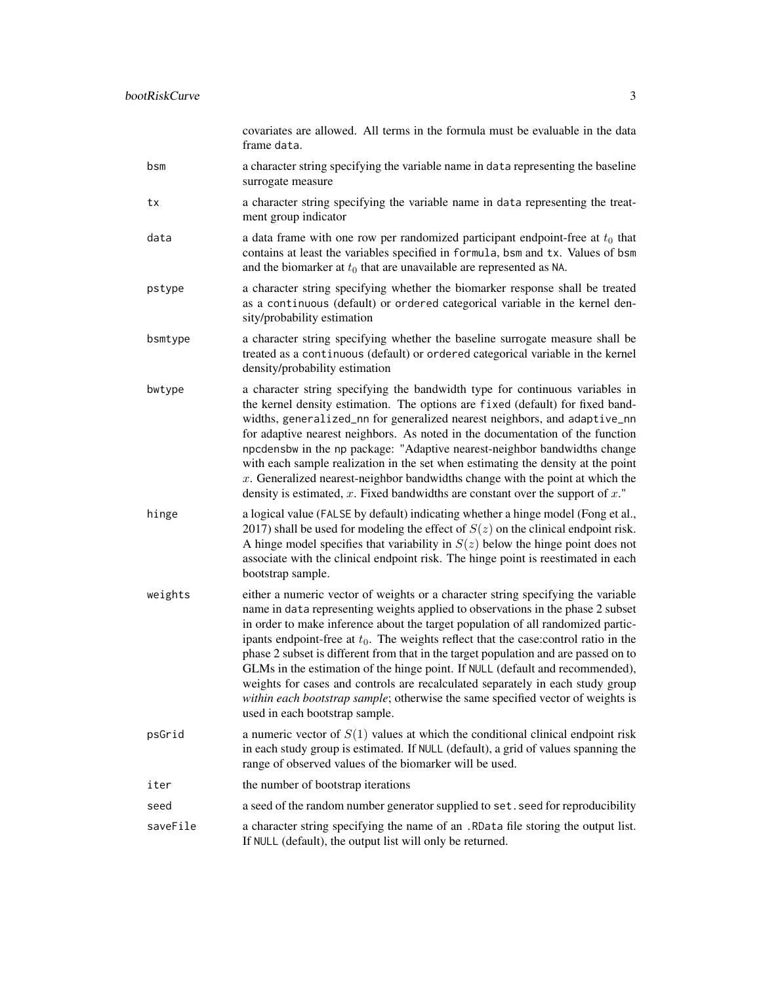covariates are allowed. All terms in the formula must be evaluable in the data frame data. bsm a character string specifying the variable name in data representing the baseline surrogate measure tx a character string specifying the variable name in data representing the treatment group indicator data a data frame with one row per randomized participant endpoint-free at  $t_0$  that contains at least the variables specified in formula, bsm and tx. Values of bsm and the biomarker at  $t_0$  that are unavailable are represented as NA. pstype a character string specifying whether the biomarker response shall be treated as a continuous (default) or ordered categorical variable in the kernel density/probability estimation bsmtype a character string specifying whether the baseline surrogate measure shall be treated as a continuous (default) or ordered categorical variable in the kernel density/probability estimation bwtype a character string specifying the bandwidth type for continuous variables in the kernel density estimation. The options are fixed (default) for fixed bandwidths, generalized\_nn for generalized nearest neighbors, and adaptive\_nn for adaptive nearest neighbors. As noted in the documentation of the function npcdensbw in the np package: "Adaptive nearest-neighbor bandwidths change with each sample realization in the set when estimating the density at the point  $x$ . Generalized nearest-neighbor bandwidths change with the point at which the density is estimated, x. Fixed bandwidths are constant over the support of  $x$ ." hinge a logical value (FALSE by default) indicating whether a hinge model (Fong et al., 2017) shall be used for modeling the effect of  $S(z)$  on the clinical endpoint risk. A hinge model specifies that variability in  $S(z)$  below the hinge point does not associate with the clinical endpoint risk. The hinge point is reestimated in each bootstrap sample. weights either a numeric vector of weights or a character string specifying the variable name in data representing weights applied to observations in the phase 2 subset in order to make inference about the target population of all randomized participants endpoint-free at  $t_0$ . The weights reflect that the case:control ratio in the phase 2 subset is different from that in the target population and are passed on to GLMs in the estimation of the hinge point. If NULL (default and recommended), weights for cases and controls are recalculated separately in each study group *within each bootstrap sample*; otherwise the same specified vector of weights is used in each bootstrap sample. psGrid a numeric vector of  $S(1)$  values at which the conditional clinical endpoint risk in each study group is estimated. If NULL (default), a grid of values spanning the range of observed values of the biomarker will be used. iter the number of bootstrap iterations seed a seed of the random number generator supplied to set. seed for reproducibility saveFile a character string specifying the name of an .RData file storing the output list. If NULL (default), the output list will only be returned.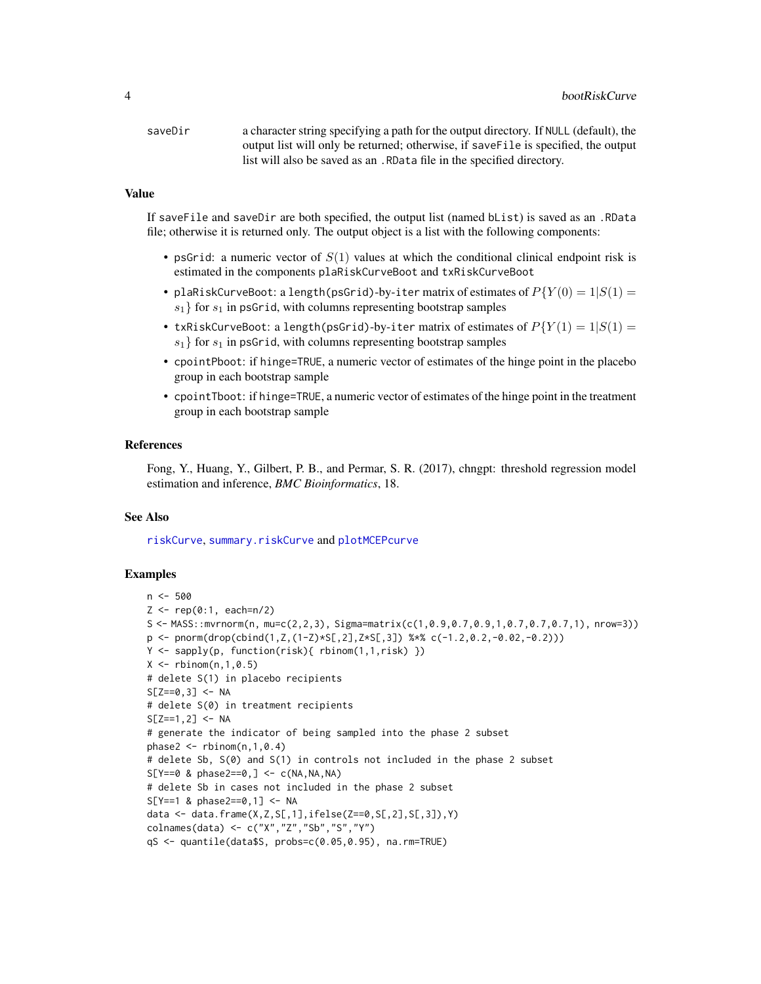<span id="page-3-0"></span>saveDir a character string specifying a path for the output directory. If NULL (default), the output list will only be returned; otherwise, if saveFile is specified, the output list will also be saved as an .RData file in the specified directory.

#### Value

If saveFile and saveDir are both specified, the output list (named bList) is saved as an .RData file; otherwise it is returned only. The output object is a list with the following components:

- psGrid: a numeric vector of  $S(1)$  values at which the conditional clinical endpoint risk is estimated in the components plaRiskCurveBoot and txRiskCurveBoot
- plaRiskCurveBoot: a length(psGrid)-by-iter matrix of estimates of  $P(Y(0) = 1|S(1) = 1)$  $s_1$  for  $s_1$  in psGrid, with columns representing bootstrap samples
- txRiskCurveBoot: a length(psGrid)-by-iter matrix of estimates of  $P{Y(1) = 1|S(1) =}$  $s_1$ } for  $s_1$  in psGrid, with columns representing bootstrap samples
- cpointPboot: if hinge=TRUE, a numeric vector of estimates of the hinge point in the placebo group in each bootstrap sample
- cpointTboot: if hinge=TRUE, a numeric vector of estimates of the hinge point in the treatment group in each bootstrap sample

#### References

Fong, Y., Huang, Y., Gilbert, P. B., and Permar, S. R. (2017), chngpt: threshold regression model estimation and inference, *BMC Bioinformatics*, 18.

#### See Also

[riskCurve](#page-5-1), [summary.riskCurve](#page-8-1) and [plotMCEPcurve](#page-4-1)

```
n <- 500
Z \leq -\text{rep}(0:1, \text{ each=n/2})S \leftarrow MASS::mvrnorm(n, mu=c(2,2,3), Sigma=matrix(c(1,0.9,0.7,0.9,1,0.7,0.7,0.7,1), nrow=3))
p \leftarrow \text{pnorm}(\text{drop}(\text{cbind}(1, Z, (1-Z)*S[, 2], Z*S[, 3]) %*% c(-1.2,0.2,-0.02,-0.2)))
Y <- sapply(p, function(risk){ rbinom(1,1,risk) })
X \leq - rbinom(n, 1, 0.5)
# delete S(1) in placebo recipients
S[Z==0, 3] <- NA
# delete S(0) in treatment recipients
S[Z==1, 2] <- NA
# generate the indicator of being sampled into the phase 2 subset
phase2 \leq rbinom(n, 1, 0.4)
# delete Sb, S(0) and S(1) in controls not included in the phase 2 subset
S[Y==0 \& phase2==0, ] \leftarrow c(NA, NA, NA)# delete Sb in cases not included in the phase 2 subset
S[Y==1 \& phase2==0, 1] <-NAdata <- data.frame(X,Z,S[,1],ifelse(Z==0,S[,2],S[,3]),Y)
colnames(data) <- c("X","Z","Sb","S","Y")
qS <- quantile(data$S, probs=c(0.05,0.95), na.rm=TRUE)
```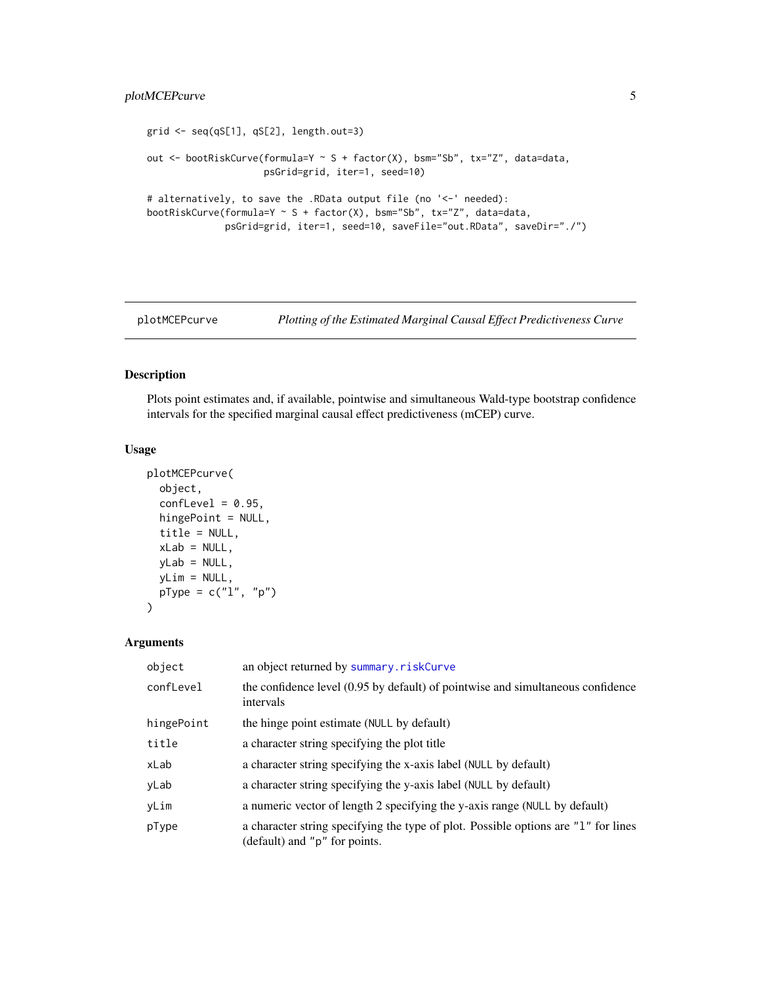#### <span id="page-4-0"></span>plotMCEPcurve 5

```
grid <- seq(qS[1], qS[2], length.out=3)
out <- bootRiskCurve(formula=Y ~ S + factor(X), bsm="Sb", tx="Z", data=data,
                     psGrid=grid, iter=1, seed=10)
# alternatively, to save the .RData output file (no '<-' needed):
bootRiskCurve(formula=Y \sim S + factor(X), bsm="Sb", tx="Z", data=data,
              psGrid=grid, iter=1, seed=10, saveFile="out.RData", saveDir="./")
```
<span id="page-4-1"></span>

plotMCEPcurve *Plotting of the Estimated Marginal Causal Effect Predictiveness Curve*

#### Description

Plots point estimates and, if available, pointwise and simultaneous Wald-type bootstrap confidence intervals for the specified marginal causal effect predictiveness (mCEP) curve.

#### Usage

```
plotMCEPcurve(
 object,
 confLevel = 0.95,hingePoint = NULL,
  title = NULL,
 xLab = NULL,
 yLab = NULL,yLim = NULL,
 pType = c("1", "p"))
```
#### Arguments

| object     | an object returned by summary.riskCurve                                                                             |
|------------|---------------------------------------------------------------------------------------------------------------------|
| confLevel  | the confidence level (0.95 by default) of pointwise and simultaneous confidence<br>intervals                        |
| hingePoint | the hinge point estimate (NULL by default)                                                                          |
| title      | a character string specifying the plot title                                                                        |
| xLab       | a character string specifying the x-axis label (NULL by default)                                                    |
| yLab       | a character string specifying the y-axis label (NULL by default)                                                    |
| yLim       | a numeric vector of length 2 specifying the y-axis range (NULL by default)                                          |
| pType      | a character string specifying the type of plot. Possible options are "1" for lines<br>(default) and "p" for points. |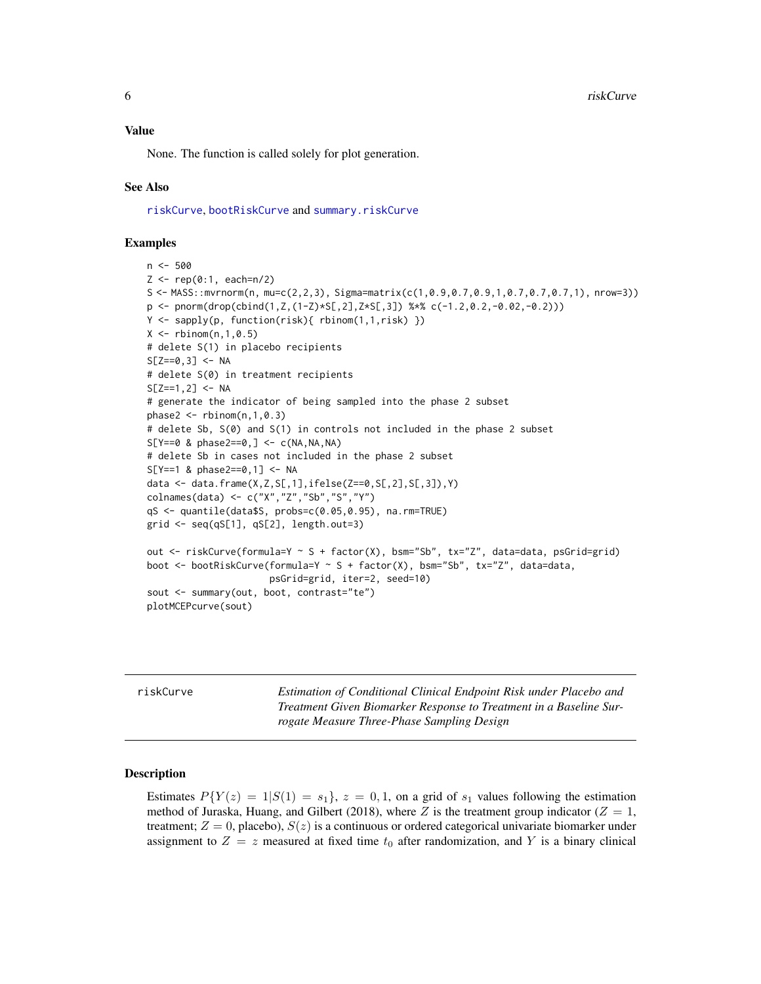<span id="page-5-0"></span>Value

None. The function is called solely for plot generation.

#### See Also

[riskCurve](#page-5-1), [bootRiskCurve](#page-1-1) and [summary.riskCurve](#page-8-1)

#### Examples

```
n < -500Z \leq -\text{rep}(0:1, \text{ each=n/2})S <- MASS::mvrnorm(n, mu=c(2,2,3), Sigma=matrix(c(1,0.9,0.7,0.9,1,0.7,0.7,0.7,1), nrow=3))
p \leftarrow \text{pnorm}(\text{drop}(\text{cbind}(1, Z, (1-Z)*S[, 2], Z*S), 3]) %*% c(-1.2, 0.2, -0.02, -0.2)))
Y <- sapply(p, function(risk){ rbinom(1,1,risk) })
X \le - rbinom(n, 1, 0.5)
# delete S(1) in placebo recipients
S[Z==0, 3] <- NA
# delete S(0) in treatment recipients
S[Z==1, 2] <- NA
# generate the indicator of being sampled into the phase 2 subset
phase2 < -rbinom(n,1,0.3)# delete Sb, S(0) and S(1) in controls not included in the phase 2 subset
S[Y==0 \& phase2==0, ] \leftarrow c(NA, NA, NA)# delete Sb in cases not included in the phase 2 subset
S[Y==1 & phase2==0,1] <- NA
data <- data.frame(X,Z,S[,1],ifelse(Z==0,S[,2],S[,3]),Y)
colnames(data) <- c("X","Z","Sb","S","Y")
qS <- quantile(data$S, probs=c(0.05,0.95), na.rm=TRUE)
grid <- seq(qS[1], qS[2], length.out=3)
out <- riskCurve(formula=Y ~ S + factor(X), bsm="Sb", tx="Z", data=data, psGrid=grid)
boot <- bootRiskCurve(formula=Y ~ S + factor(X), bsm="Sb", tx="Z", data=data,
                       psGrid=grid, iter=2, seed=10)
sout <- summary(out, boot, contrast="te")
plotMCEPcurve(sout)
```
<span id="page-5-1"></span>riskCurve *Estimation of Conditional Clinical Endpoint Risk under Placebo and Treatment Given Biomarker Response to Treatment in a Baseline Surrogate Measure Three-Phase Sampling Design*

#### Description

Estimates  $P(Y(z) = 1|S(1) = s_1$ ,  $z = 0, 1$ , on a grid of  $s_1$  values following the estimation method of Juraska, Huang, and Gilbert (2018), where Z is the treatment group indicator ( $Z = 1$ , treatment;  $Z = 0$ , placebo),  $S(z)$  is a continuous or ordered categorical univariate biomarker under assignment to  $Z = z$  measured at fixed time  $t_0$  after randomization, and Y is a binary clinical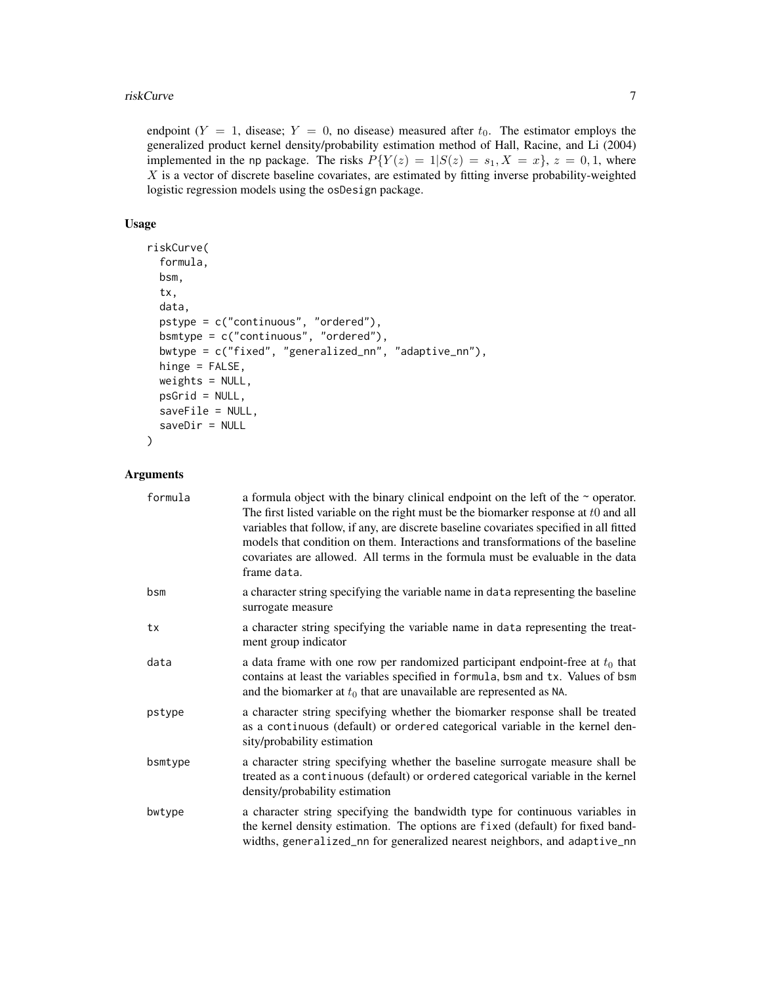#### riskCurve 7

endpoint  $(Y = 1$ , disease;  $Y = 0$ , no disease) measured after  $t_0$ . The estimator employs the generalized product kernel density/probability estimation method of Hall, Racine, and Li (2004) implemented in the np package. The risks  $P(Y(z) = 1|S(z) = s_1, X = x)$ ,  $z = 0, 1$ , where  $X$  is a vector of discrete baseline covariates, are estimated by fitting inverse probability-weighted logistic regression models using the osDesign package.

#### Usage

```
riskCurve(
  formula,
 bsm,
  tx,
  data,
  pstype = c("continuous", "ordered"),
 bsmtype = c("continuous", "ordered"),
 bwtype = c("fixed", "generalized_nn", "adaptive_nn"),
 hinge = FALSE,weights = NULL,
 psGrid = NULL,
 saveFile = NULL,
  saveDir = NULL
)
```
#### Arguments

| formula | a formula object with the binary clinical endpoint on the left of the $\sim$ operator.<br>The first listed variable on the right must be the biomarker response at $t0$ and all<br>variables that follow, if any, are discrete baseline covariates specified in all fitted<br>models that condition on them. Interactions and transformations of the baseline<br>covariates are allowed. All terms in the formula must be evaluable in the data<br>frame data. |
|---------|----------------------------------------------------------------------------------------------------------------------------------------------------------------------------------------------------------------------------------------------------------------------------------------------------------------------------------------------------------------------------------------------------------------------------------------------------------------|
| bsm     | a character string specifying the variable name in data representing the baseline<br>surrogate measure                                                                                                                                                                                                                                                                                                                                                         |
| tx      | a character string specifying the variable name in data representing the treat-<br>ment group indicator                                                                                                                                                                                                                                                                                                                                                        |
| data    | a data frame with one row per randomized participant endpoint-free at $t_0$ that<br>contains at least the variables specified in formula, bsm and tx. Values of bsm<br>and the biomarker at $t_0$ that are unavailable are represented as NA.                                                                                                                                                                                                                  |
| pstype  | a character string specifying whether the biomarker response shall be treated<br>as a continuous (default) or ordered categorical variable in the kernel den-<br>sity/probability estimation                                                                                                                                                                                                                                                                   |
| bsmtype | a character string specifying whether the baseline surrogate measure shall be<br>treated as a continuous (default) or ordered categorical variable in the kernel<br>density/probability estimation                                                                                                                                                                                                                                                             |
| bwtype  | a character string specifying the bandwidth type for continuous variables in<br>the kernel density estimation. The options are fixed (default) for fixed band-<br>widths, generalized_nn for generalized nearest neighbors, and adaptive_nn                                                                                                                                                                                                                    |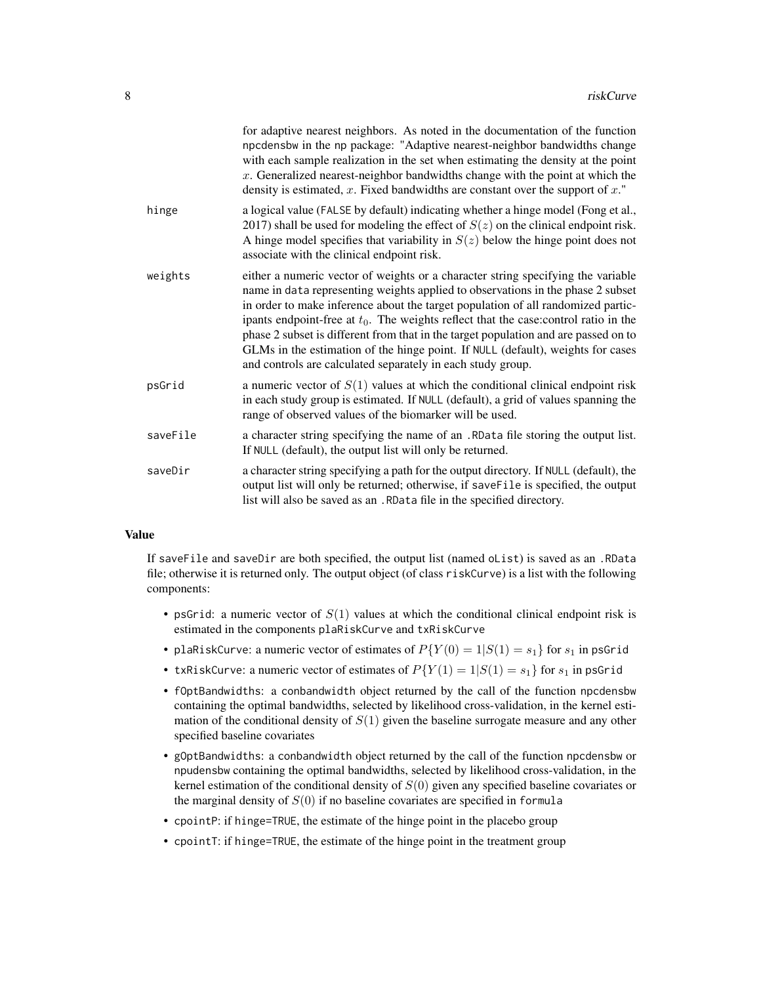|          | for adaptive nearest neighbors. As noted in the documentation of the function<br>npcdensbw in the np package: "Adaptive nearest-neighbor bandwidths change<br>with each sample realization in the set when estimating the density at the point<br>$x$ . Generalized nearest-neighbor bandwidths change with the point at which the<br>density is estimated, $x$ . Fixed bandwidths are constant over the support of $x$ ."                                                                                                                                                                  |
|----------|---------------------------------------------------------------------------------------------------------------------------------------------------------------------------------------------------------------------------------------------------------------------------------------------------------------------------------------------------------------------------------------------------------------------------------------------------------------------------------------------------------------------------------------------------------------------------------------------|
| hinge    | a logical value (FALSE by default) indicating whether a hinge model (Fong et al.,<br>2017) shall be used for modeling the effect of $S(z)$ on the clinical endpoint risk.<br>A hinge model specifies that variability in $S(z)$ below the hinge point does not<br>associate with the clinical endpoint risk.                                                                                                                                                                                                                                                                                |
| weights  | either a numeric vector of weights or a character string specifying the variable<br>name in data representing weights applied to observations in the phase 2 subset<br>in order to make inference about the target population of all randomized partic-<br>ipants endpoint-free at $t_0$ . The weights reflect that the case: control ratio in the<br>phase 2 subset is different from that in the target population and are passed on to<br>GLMs in the estimation of the hinge point. If NULL (default), weights for cases<br>and controls are calculated separately in each study group. |
| psGrid   | a numeric vector of $S(1)$ values at which the conditional clinical endpoint risk<br>in each study group is estimated. If NULL (default), a grid of values spanning the<br>range of observed values of the biomarker will be used.                                                                                                                                                                                                                                                                                                                                                          |
| saveFile | a character string specifying the name of an .RData file storing the output list.<br>If NULL (default), the output list will only be returned.                                                                                                                                                                                                                                                                                                                                                                                                                                              |
| saveDir  | a character string specifying a path for the output directory. If NULL (default), the<br>output list will only be returned; otherwise, if saveFile is specified, the output<br>list will also be saved as an . RData file in the specified directory.                                                                                                                                                                                                                                                                                                                                       |
|          |                                                                                                                                                                                                                                                                                                                                                                                                                                                                                                                                                                                             |

#### Value

If saveFile and saveDir are both specified, the output list (named oList) is saved as an .RData file; otherwise it is returned only. The output object (of class riskCurve) is a list with the following components:

- psGrid: a numeric vector of  $S(1)$  values at which the conditional clinical endpoint risk is estimated in the components plaRiskCurve and txRiskCurve
- plaRiskCurve: a numeric vector of estimates of  $P(Y(0) = 1|S(1) = s_1)$  for  $s_1$  in psGrid
- txRiskCurve: a numeric vector of estimates of  $P{Y(1) = 1|S(1) = s_1}$  for  $s_1$  in psGrid
- fOptBandwidths: a conbandwidth object returned by the call of the function npcdensbw containing the optimal bandwidths, selected by likelihood cross-validation, in the kernel estimation of the conditional density of  $S(1)$  given the baseline surrogate measure and any other specified baseline covariates
- gOptBandwidths: a conbandwidth object returned by the call of the function npcdensbw or npudensbw containing the optimal bandwidths, selected by likelihood cross-validation, in the kernel estimation of the conditional density of  $S(0)$  given any specified baseline covariates or the marginal density of  $S(0)$  if no baseline covariates are specified in formula
- cpointP: if hinge=TRUE, the estimate of the hinge point in the placebo group
- cpointT: if hinge=TRUE, the estimate of the hinge point in the treatment group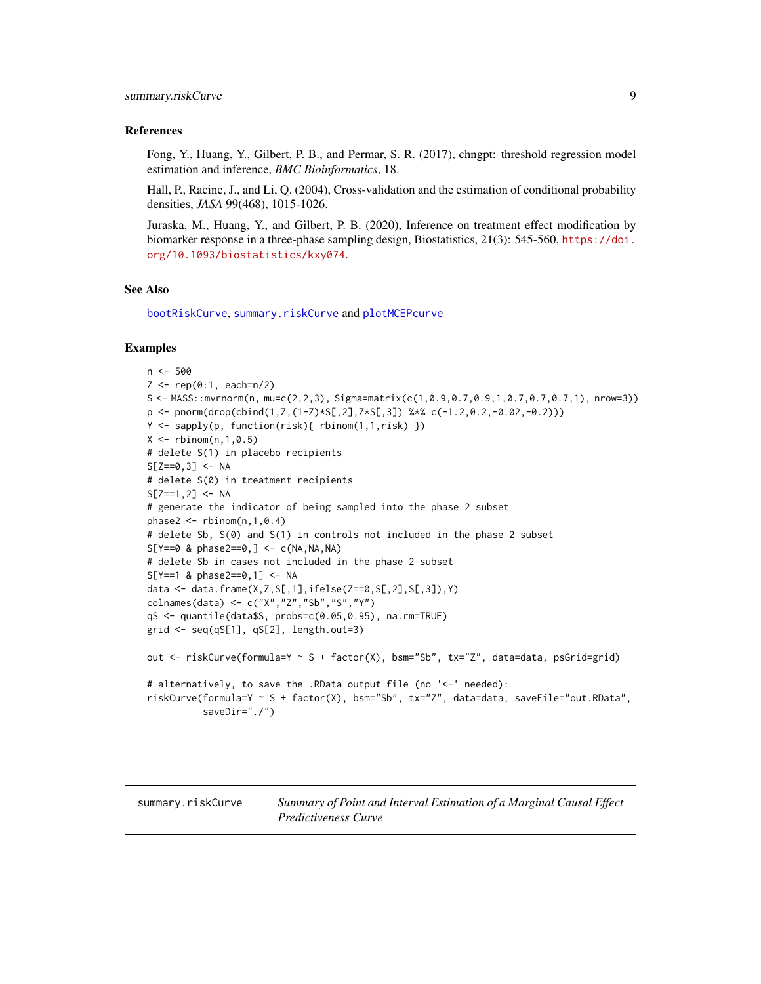#### <span id="page-8-0"></span>References

Fong, Y., Huang, Y., Gilbert, P. B., and Permar, S. R. (2017), chngpt: threshold regression model estimation and inference, *BMC Bioinformatics*, 18.

Hall, P., Racine, J., and Li, Q. (2004), Cross-validation and the estimation of conditional probability densities, *JASA* 99(468), 1015-1026.

Juraska, M., Huang, Y., and Gilbert, P. B. (2020), Inference on treatment effect modification by biomarker response in a three-phase sampling design, Biostatistics, 21(3): 545-560, [https://doi.](https://doi.org/10.1093/biostatistics/kxy074) [org/10.1093/biostatistics/kxy074](https://doi.org/10.1093/biostatistics/kxy074).

#### See Also

[bootRiskCurve](#page-1-1), [summary.riskCurve](#page-8-1) and [plotMCEPcurve](#page-4-1)

```
n <- 500
Z <- rep(0:1, each=n/2)
S <- MASS::mvrnorm(n, mu=c(2,2,3), Sigma=matrix(c(1,0.9,0.7,0.9,1,0.7,0.7,0.7,1), nrow=3))
p <- pnorm(drop(cbind(1,Z,(1-Z)*S[,2],Z*S[,3]) %*% c(-1.2,0.2,-0.02,-0.2)))
Y <- sapply(p, function(risk){ rbinom(1,1,risk) })
X \leq - rbinom(n, 1, 0.5)# delete S(1) in placebo recipients
S[Z==0, 3] <- NA
# delete S(0) in treatment recipients
S[Z==1, 2] <- NA
# generate the indicator of being sampled into the phase 2 subset
phase2 \leq rbinom(n, 1,0.4)
# delete Sb, S(0) and S(1) in controls not included in the phase 2 subset
S[Y==0 \& phase2==0, ] \leftarrow c(NA, NA, NA)# delete Sb in cases not included in the phase 2 subset
S[Y==1 & phase2==0,1] <- NA
data <- data.frame(X,Z,S[,1],ifelse(Z==0,S[,2],S[,3]),Y)
colnames(data) <- c("X","Z","Sb","S","Y")
qS <- quantile(data$S, probs=c(0.05,0.95), na.rm=TRUE)
grid <- seq(qS[1], qS[2], length.out=3)
out <- riskCurve(formula=Y ~ S + factor(X), bsm="Sb", tx="Z", data=data, psGrid=grid)
# alternatively, to save the .RData output file (no '<-' needed):
riskCurve(formula=Y ~ S + factor(X), bsm="Sb", tx="Z", data=data, saveFile="out.RData",
          saveDir="./")
```
<span id="page-8-1"></span>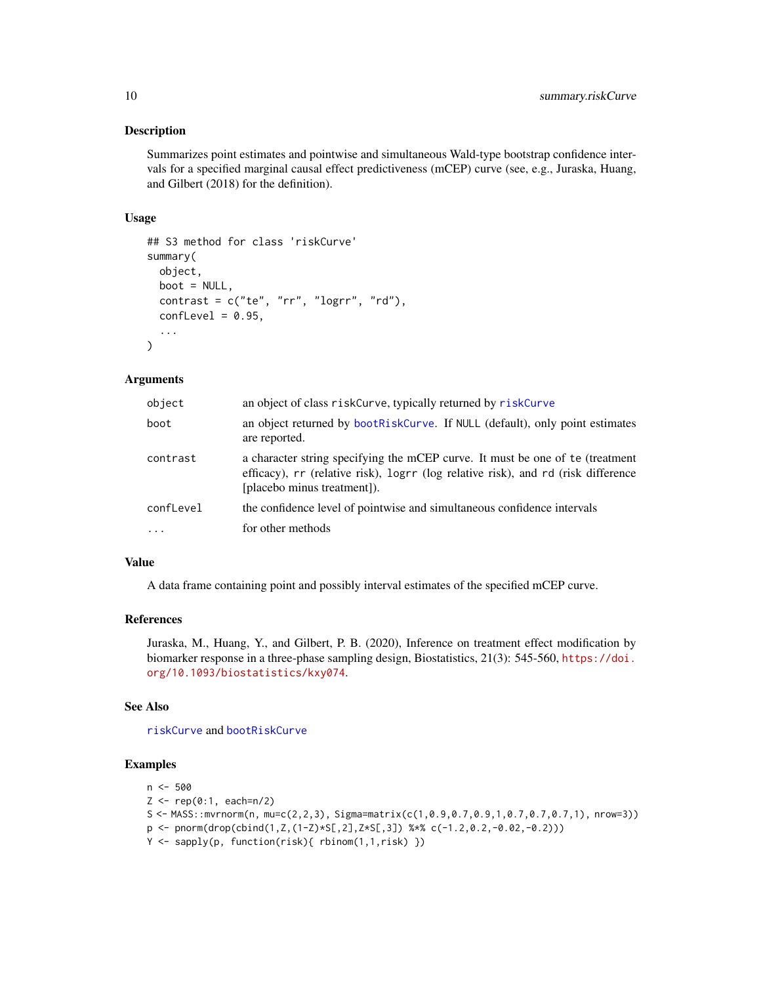#### <span id="page-9-0"></span>Description

Summarizes point estimates and pointwise and simultaneous Wald-type bootstrap confidence intervals for a specified marginal causal effect predictiveness (mCEP) curve (see, e.g., Juraska, Huang, and Gilbert (2018) for the definition).

#### Usage

```
## S3 method for class 'riskCurve'
summary(
 object,
 boot = NULL,
  contrast = c("te", "rr", "logrr", "rd"),
  confLevel = 0.95,
  ...
\mathcal{L}
```
#### **Arguments**

| object     | an object of class riskCurve, typically returned by riskCurve                                                                                                                                     |
|------------|---------------------------------------------------------------------------------------------------------------------------------------------------------------------------------------------------|
| boot       | an object returned by bootRiskCurve. If NULL (default), only point estimates<br>are reported.                                                                                                     |
| contrast   | a character string specifying the mCEP curve. It must be one of te (treatment<br>efficacy), rr (relative risk), logrr (log relative risk), and rd (risk difference<br>[placebo minus treatment]). |
| confLevel  | the confidence level of pointwise and simultaneous confidence intervals                                                                                                                           |
| $\ddots$ . | for other methods                                                                                                                                                                                 |

#### Value

A data frame containing point and possibly interval estimates of the specified mCEP curve.

#### References

Juraska, M., Huang, Y., and Gilbert, P. B. (2020), Inference on treatment effect modification by biomarker response in a three-phase sampling design, Biostatistics, 21(3): 545-560, [https://doi.](https://doi.org/10.1093/biostatistics/kxy074) [org/10.1093/biostatistics/kxy074](https://doi.org/10.1093/biostatistics/kxy074).

#### See Also

[riskCurve](#page-5-1) and [bootRiskCurve](#page-1-1)

#### Examples

```
n <- 500
```
 $Z \leq -\text{rep}(0:1, \text{ each=n/2})$ 

```
S <- MASS::mvrnorm(n, mu=c(2,2,3), Sigma=matrix(c(1,0.9,0.7,0.9,1,0.7,0.7,0.7,1), nrow=3))
```
- $p \leftarrow \text{pnorm}(drop(cbind(1, Z, (1-Z)*S[, 2], Z*S[, 3])$  %\*% c(-1.2,0.2,-0.02,-0.2)))
- Y <- sapply(p, function(risk){ rbinom(1,1,risk) })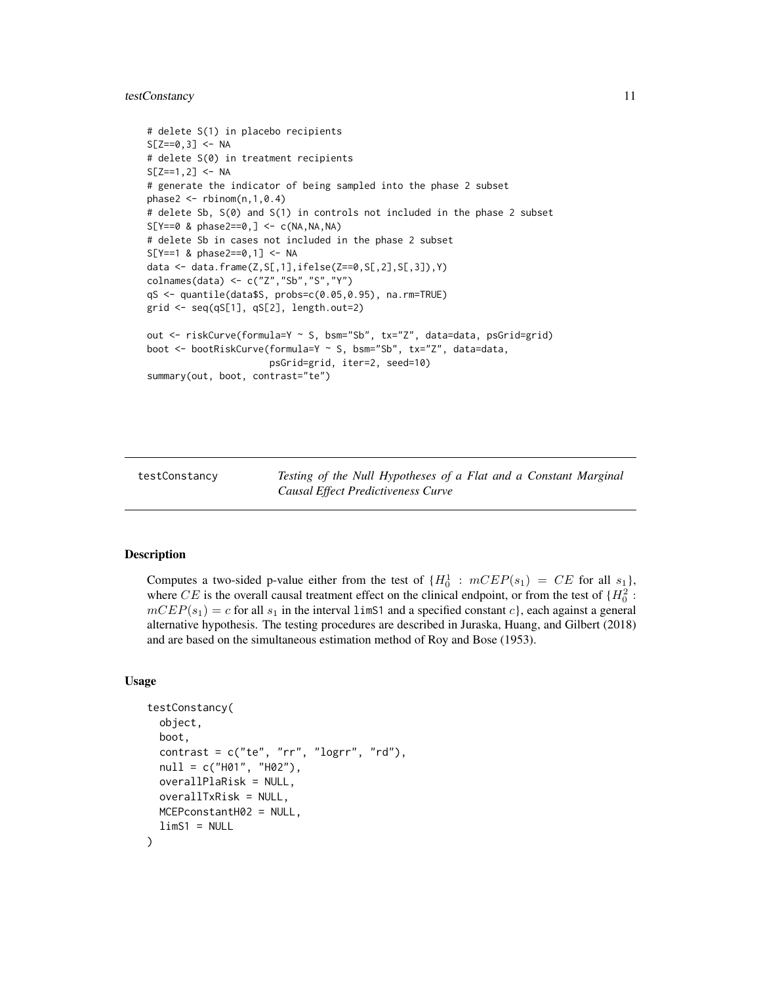#### <span id="page-10-0"></span>testConstancy 11

```
# delete S(1) in placebo recipients
S[Z==0, 3] <- NA
# delete S(0) in treatment recipients
S[Z==1, 2] <- NA
# generate the indicator of being sampled into the phase 2 subset
phase2 < -rbinom(n,1,0.4)# delete Sb, S(0) and S(1) in controls not included in the phase 2 subset
S[Y==0 \& phase2==0, ] \leftarrow c(NA, NA, NA)# delete Sb in cases not included in the phase 2 subset
S[Y==1 & phase2==0,1] <- NA
data <- data.frame(Z,S[,1],ifelse(Z==0,S[,2],S[,3]),Y)
colnames(data) <- c("Z","Sb","S","Y")
qS <- quantile(data$S, probs=c(0.05,0.95), na.rm=TRUE)
grid <- seq(qS[1], qS[2], length.out=2)
out <- riskCurve(formula=Y ~ S, bsm="Sb", tx="Z", data=data, psGrid=grid)
boot <- bootRiskCurve(formula=Y ~ S, bsm="Sb", tx="Z", data=data,
                      psGrid=grid, iter=2, seed=10)
summary(out, boot, contrast="te")
```
<span id="page-10-1"></span>testConstancy *Testing of the Null Hypotheses of a Flat and a Constant Marginal Causal Effect Predictiveness Curve*

#### **Description**

Computes a two-sided p-value either from the test of  ${H_0^1 : mCEP(s_1) = CE}$  for all  $s_1$ , where CE is the overall causal treatment effect on the clinical endpoint, or from the test of  $\{H_0^2:$  $mCEP(s_1) = c$  for all  $s_1$  in the interval limS1 and a specified constant c, each against a general alternative hypothesis. The testing procedures are described in Juraska, Huang, and Gilbert (2018) and are based on the simultaneous estimation method of Roy and Bose (1953).

#### Usage

```
testConstancy(
  object,
  boot,
  contrast = c("te", "rr", "logrr", "rd"),
  null = c("H01", "H02"),
  overallPlaRisk = NULL,
  overallTxRisk = NULL,
 MCEPconstantH02 = NULL,
  limS1 = NULL)
```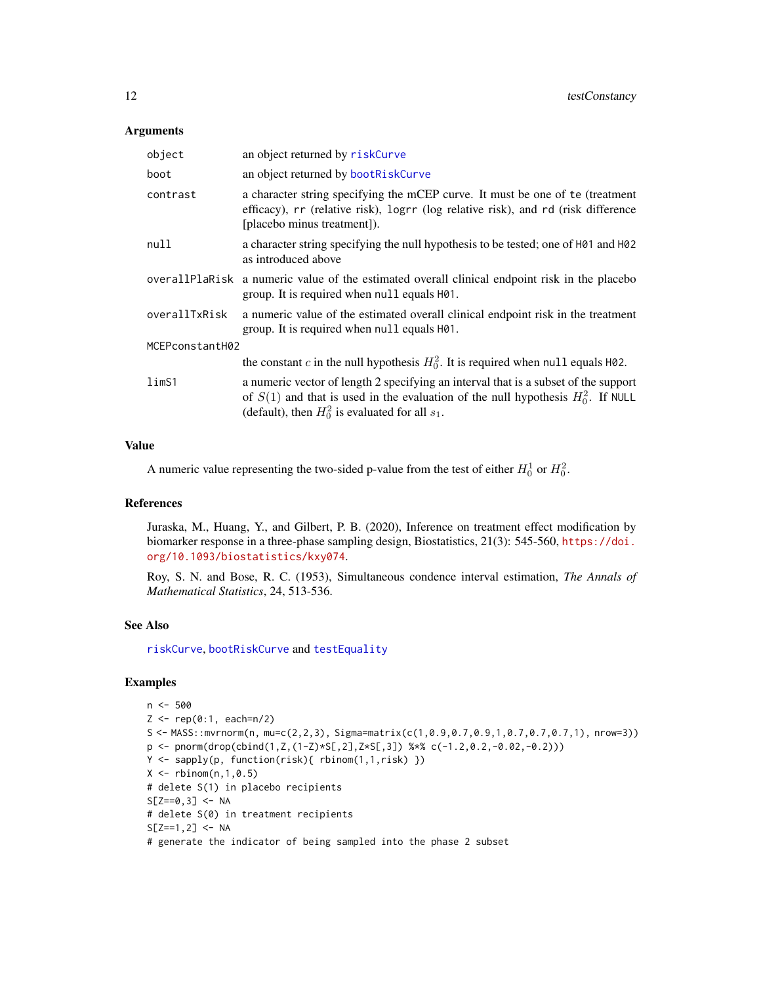#### <span id="page-11-0"></span>**Arguments**

| object            | an object returned by riskCurve                                                                                                                                                                                                      |  |
|-------------------|--------------------------------------------------------------------------------------------------------------------------------------------------------------------------------------------------------------------------------------|--|
| boot              | an object returned by bootRiskCurve                                                                                                                                                                                                  |  |
| contrast          | a character string specifying the mCEP curve. It must be one of te (treatment<br>efficacy), rr (relative risk), logrr (log relative risk), and rd (risk difference<br>[placebo minus treatment]).                                    |  |
| null              | a character string specifying the null hypothesis to be tested; one of $H01$ and $H02$<br>as introduced above                                                                                                                        |  |
|                   | overall Plantisk a numeric value of the estimated overall clinical endpoint risk in the placebo<br>group. It is required when null equals $H\varnothing$ 1.                                                                          |  |
| overallTxRisk     | a numeric value of the estimated overall clinical endpoint risk in the treatment<br>group. It is required when null equals H01.                                                                                                      |  |
| MCEPconstantH02   |                                                                                                                                                                                                                                      |  |
|                   | the constant c in the null hypothesis $H_0^2$ . It is required when null equals H02.                                                                                                                                                 |  |
| lim <sub>S1</sub> | a numeric vector of length 2 specifying an interval that is a subset of the support<br>of $S(1)$ and that is used in the evaluation of the null hypothesis $H_0^2$ . If NULL<br>(default), then $H_0^2$ is evaluated for all $s_1$ . |  |

#### Value

A numeric value representing the two-sided p-value from the test of either  $H_0^1$  or  $H_0^2$ .

#### **References**

Juraska, M., Huang, Y., and Gilbert, P. B. (2020), Inference on treatment effect modification by biomarker response in a three-phase sampling design, Biostatistics, 21(3): 545-560, [https://doi.](https://doi.org/10.1093/biostatistics/kxy074) [org/10.1093/biostatistics/kxy074](https://doi.org/10.1093/biostatistics/kxy074).

Roy, S. N. and Bose, R. C. (1953), Simultaneous condence interval estimation, *The Annals of Mathematical Statistics*, 24, 513-536.

#### See Also

[riskCurve](#page-5-1), [bootRiskCurve](#page-1-1) and [testEquality](#page-12-1)

```
n <- 500
Z <- rep(0:1, each=n/2)
S <- MASS::mvrnorm(n, mu=c(2,2,3), Sigma=matrix(c(1,0.9,0.7,0.9,1,0.7,0.7,0.7,1), nrow=3))
p <- pnorm(drop(cbind(1,Z,(1-Z)*S[,2],Z*S[,3]) %*% c(-1.2,0.2,-0.02,-0.2)))
Y <- sapply(p, function(risk){ rbinom(1,1,risk) })
X \le - rbinom(n, 1, 0.5)
# delete S(1) in placebo recipients
S[Z==0, 3] <- NA
# delete S(0) in treatment recipients
S[Z==1, 2] <- NA
# generate the indicator of being sampled into the phase 2 subset
```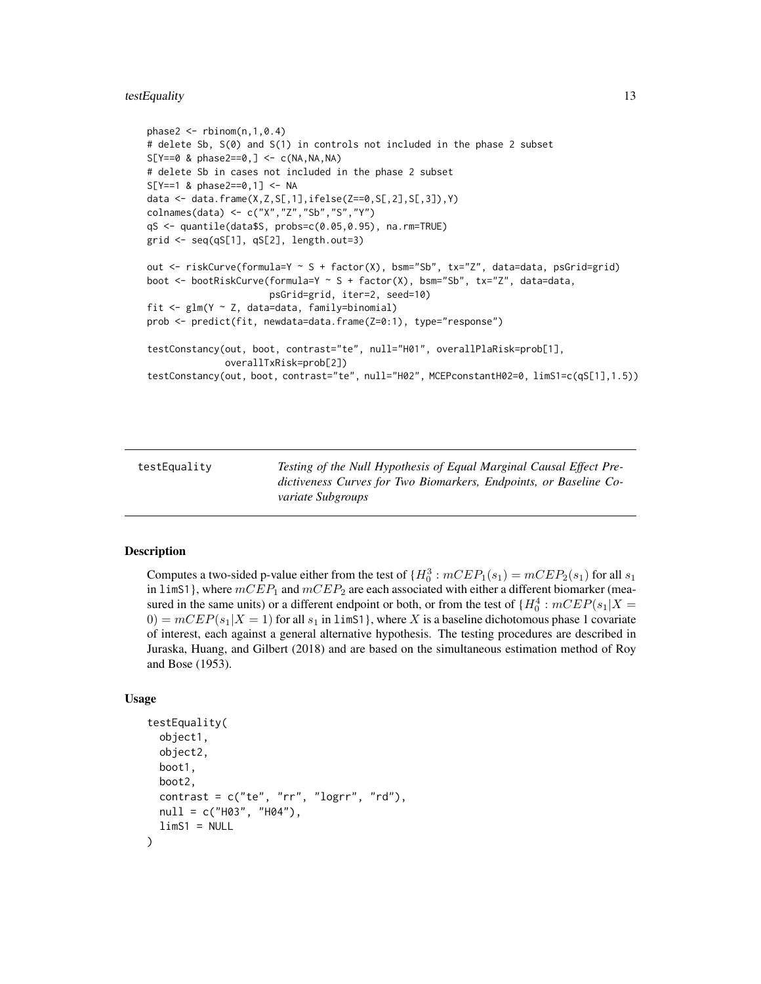#### <span id="page-12-0"></span>testEquality 13

```
phase2 < -rbinom(n,1,0.4)# delete Sb, S(0) and S(1) in controls not included in the phase 2 subset
S[Y==0 \& phase2==0, ] \leftarrow c(NA, NA, NA)# delete Sb in cases not included in the phase 2 subset
S[Y==1 & phase2==0,1] <- NA
data <- data.frame(X,Z,S[,1],ifelse(Z==0,S[,2],S[,3]),Y)
colnames(data) <- c("X","Z","Sb","S","Y")
qS <- quantile(data$S, probs=c(0.05,0.95), na.rm=TRUE)
grid \leq seq(qS[1], qS[2], length.out=3)out <- riskCurve(formula=Y ~ S + factor(X), bsm="Sb", tx="Z", data=data, psGrid=grid)
boot <- bootRiskCurve(formula=Y ~ S + factor(X), bsm="Sb", tx="Z", data=data,
                      psGrid=grid, iter=2, seed=10)
fit \leq glm(Y \sim Z, data=data, family=binomial)
prob <- predict(fit, newdata=data.frame(Z=0:1), type="response")
testConstancy(out, boot, contrast="te", null="H01", overallPlaRisk=prob[1],
              overallTxRisk=prob[2])
testConstancy(out, boot, contrast="te", null="H02", MCEPconstantH02=0, limS1=c(qS[1],1.5))
```
<span id="page-12-1"></span>testEquality *Testing of the Null Hypothesis of Equal Marginal Causal Effect Predictiveness Curves for Two Biomarkers, Endpoints, or Baseline Covariate Subgroups*

#### Description

Computes a two-sided p-value either from the test of  ${H_0^3 : mCEP_1(s_1) = mCEP_2(s_1)}$  for all  $s_1$ in limS1}, where  $mCEP_1$  and  $mCEP_2$  are each associated with either a different biomarker (measured in the same units) or a different endpoint or both, or from the test of  ${H_0^4 : mCEP(s_1|X =$  $0 = mCEP(s<sub>1</sub>|X = 1)$  for all  $s<sub>1</sub>$  in 1 imS1, where X is a baseline dichotomous phase 1 covariate of interest, each against a general alternative hypothesis. The testing procedures are described in Juraska, Huang, and Gilbert (2018) and are based on the simultaneous estimation method of Roy and Bose (1953).

#### Usage

```
testEquality(
  object1,
  object2,
 boot1,
 boot2,
  contrast = c("te", "rr", "logrr", "rd"),
  null = c("H03", "H04"),
  limS1 = NULL)
```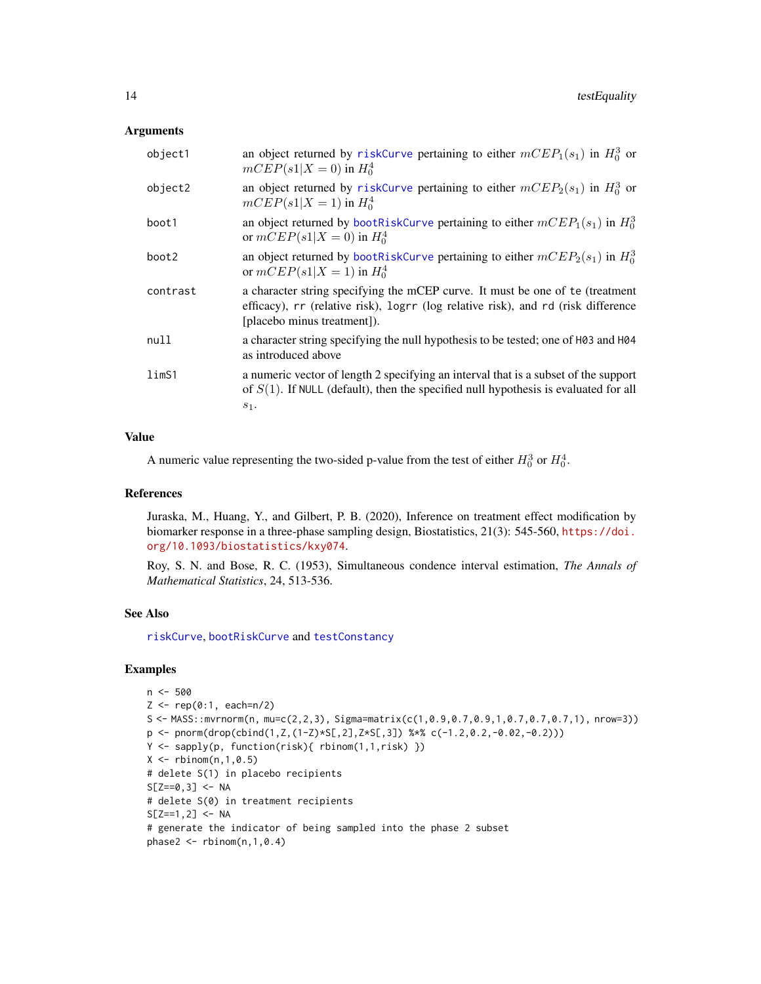#### <span id="page-13-0"></span>**Arguments**

| object1           | an object returned by riskCurve pertaining to either $mCEP_1(s_1)$ in $H_0^3$ or<br>$mCEP(s1 X = 0)$ in $H_0^4$                                                                                   |
|-------------------|---------------------------------------------------------------------------------------------------------------------------------------------------------------------------------------------------|
| object2           | an object returned by riskCurve pertaining to either $mCEP_2(s_1)$ in $H_0^3$ or<br>$mCEP(s1 X = 1)$ in $H_0^4$                                                                                   |
| boot1             | an object returned by bootRiskCurve pertaining to either $mCEP_1(s_1)$ in $H_0^3$<br>or $mCEP(s1 X = 0)$ in $H_0^4$                                                                               |
| boot2             | an object returned by bootRiskCurve pertaining to either $mCEP_2(s_1)$ in $H_0^3$<br>or $mCEP(s1 X = 1)$ in $H_0^4$                                                                               |
| contrast          | a character string specifying the mCEP curve. It must be one of te (treatment<br>efficacy), rr (relative risk), logrr (log relative risk), and rd (risk difference<br>[placebo minus treatment]). |
| null              | a character string specifying the null hypothesis to be tested; one of H03 and H04<br>as introduced above                                                                                         |
| lim <sub>S1</sub> | a numeric vector of length 2 specifying an interval that is a subset of the support<br>of $S(1)$ . If NULL (default), then the specified null hypothesis is evaluated for all<br>$s_1$ .          |

#### Value

A numeric value representing the two-sided p-value from the test of either  $H_0^3$  or  $H_0^4$ .

#### References

Juraska, M., Huang, Y., and Gilbert, P. B. (2020), Inference on treatment effect modification by biomarker response in a three-phase sampling design, Biostatistics, 21(3): 545-560, [https://doi.](https://doi.org/10.1093/biostatistics/kxy074) [org/10.1093/biostatistics/kxy074](https://doi.org/10.1093/biostatistics/kxy074).

Roy, S. N. and Bose, R. C. (1953), Simultaneous condence interval estimation, *The Annals of Mathematical Statistics*, 24, 513-536.

#### See Also

[riskCurve](#page-5-1), [bootRiskCurve](#page-1-1) and [testConstancy](#page-10-1)

```
n < -500Z \leq -\text{rep}(0:1, \text{ each=n/2})S <- MASS::mvrnorm(n, mu=c(2,2,3), Sigma=matrix(c(1,0.9,0.7,0.9,1,0.7,0.7,0.7,1), nrow=3))
p <- pnorm(drop(cbind(1,Z,(1-Z)*S[,2],Z*S[,3]) %*% c(-1.2,0.2,-0.02,-0.2)))
Y <- sapply(p, function(risk){ rbinom(1,1,risk) })
X \leftarrow \text{rbinom}(n, 1, 0.5)# delete S(1) in placebo recipients
S[Z==0, 3] <- NA
# delete S(0) in treatment recipients
S[Z==1, 2] <- NA
# generate the indicator of being sampled into the phase 2 subset
phase2 \leq rbinom(n, 1,0.4)
```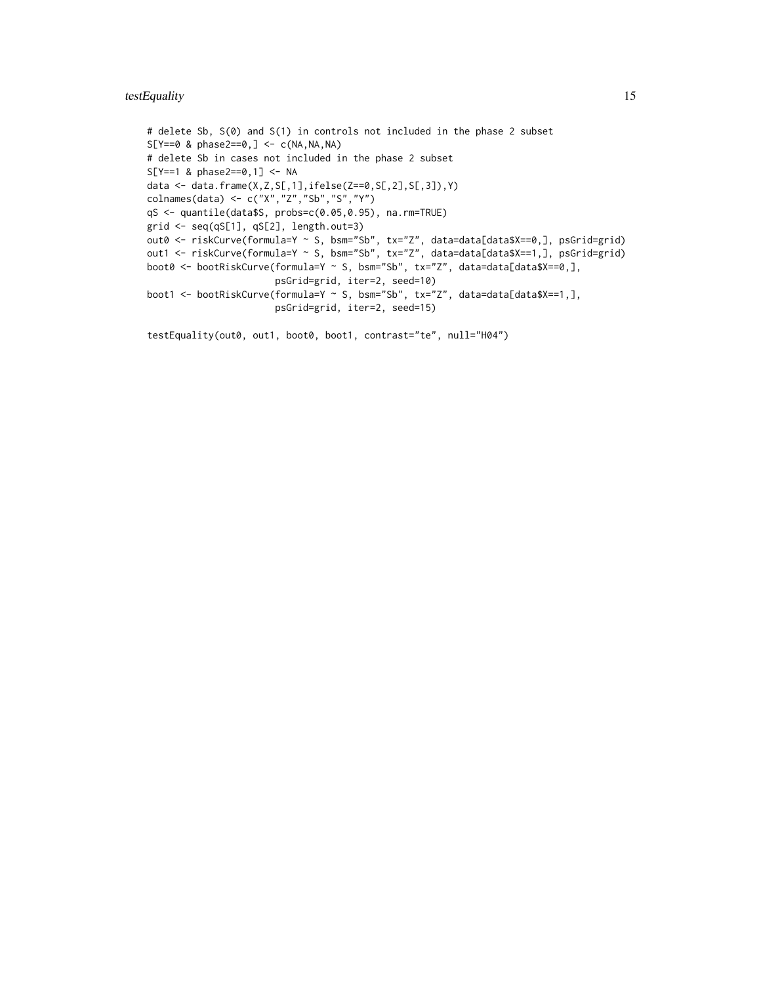#### testEquality 15

```
# delete Sb, S(0) and S(1) in controls not included in the phase 2 subset
S[Y==0 \& phase2==0, ] \leftarrow c(NA, NA, NA)# delete Sb in cases not included in the phase 2 subset
S[Y==1 & phase2==0,1] <- NA
data <- data.frame(X,Z,S[,1],ifelse(Z==0,S[,2],S[,3]),Y)
colnames(data) <- c("X","Z","Sb","S","Y")
qS <- quantile(data$S, probs=c(0.05,0.95), na.rm=TRUE)
grid <- seq(qS[1], qS[2], length.out=3)
out0 <- riskCurve(formula=Y ~ S, bsm="Sb", tx="Z", data=data[data$X==0,], psGrid=grid)
out1 <- riskCurve(formula=Y ~ S, bsm="Sb", tx="Z", data=data[data$X==1,], psGrid=grid)
boot0 <- bootRiskCurve(formula=Y ~ S, bsm="Sb", tx="Z", data=data[data$X==0,],
                       psGrid=grid, iter=2, seed=10)
boot1 <- bootRiskCurve(formula=Y ~ S, bsm="Sb", tx="Z", data=data[data$X==1,],
                       psGrid=grid, iter=2, seed=15)
```

```
testEquality(out0, out1, boot0, boot1, contrast="te", null="H04")
```